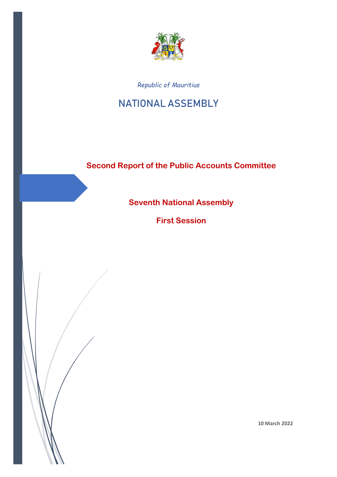

*Republic of Mauritius*

# **NATIONAL ASSEMBLY**

# **Second Report of the Public Accounts Committee**

**Seventh National Assembly**

**First Session**

 $\overline{a}$ 

**10 March 2022**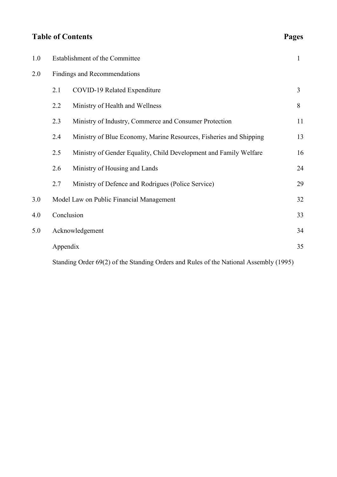# **Table of Contents** Pages

| яσρ<br>۷<br>., |
|----------------|
|----------------|

| 1.0 | Establishment of the Committee           |                                                                    | 1              |
|-----|------------------------------------------|--------------------------------------------------------------------|----------------|
| 2.0 | Findings and Recommendations             |                                                                    |                |
|     | 2.1                                      | <b>COVID-19 Related Expenditure</b>                                | $\overline{3}$ |
|     | 2.2                                      | Ministry of Health and Wellness                                    | 8              |
|     | 2.3                                      | Ministry of Industry, Commerce and Consumer Protection             | 11             |
|     | 2.4                                      | Ministry of Blue Economy, Marine Resources, Fisheries and Shipping | 13             |
|     | 2.5                                      | Ministry of Gender Equality, Child Development and Family Welfare  | 16             |
|     | 2.6                                      | Ministry of Housing and Lands                                      | 24             |
|     | 2.7                                      | Ministry of Defence and Rodrigues (Police Service)                 | 29             |
| 3.0 | Model Law on Public Financial Management |                                                                    | 32             |
| 4.0 | Conclusion                               |                                                                    | 33             |
| 5.0 | Acknowledgement                          |                                                                    |                |
|     | Appendix                                 |                                                                    | 35             |
|     |                                          |                                                                    |                |

Standing Order 69(2) of the Standing Orders and Rules of the National Assembly (1995)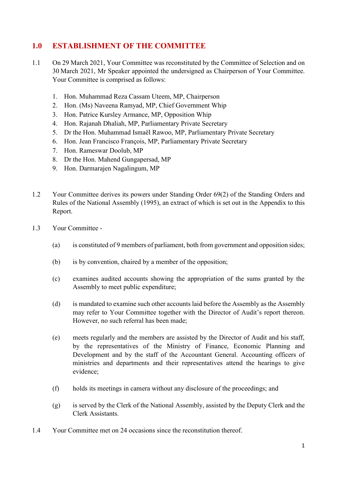# **1.0 ESTABLISHMENT OF THE COMMITTEE**

- 1.1 On 29 March 2021, Your Committee was reconstituted by the Committee of Selection and on 30 March 2021, Mr Speaker appointed the undersigned as Chairperson of Your Committee. Your Committee is comprised as follows:
	- 1. Hon. Muhammad Reza Cassam Uteem, MP, Chairperson
	- 2. Hon. (Ms) Naveena Ramyad, MP, Chief Government Whip
	- 3. Hon. Patrice Kursley Armance, MP, Opposition Whip
	- 4. Hon. Rajanah Dhaliah, MP, Parliamentary Private Secretary
	- 5. Dr the Hon. Muhammad Ismaël Rawoo, MP, Parliamentary Private Secretary
	- 6. Hon. Jean Francisco François, MP, Parliamentary Private Secretary
	- 7. Hon. Rameswar Doolub, MP
	- 8. Dr the Hon. Mahend Gungapersad, MP
	- 9. Hon. Darmarajen Nagalingum, MP
- 1.2 Your Committee derives its powers under Standing Order 69(2) of the Standing Orders and Rules of the National Assembly (1995), an extract of which is set out in the Appendix to this Report.
- 1.3 Your Committee
	- (a) is constituted of 9 members of parliament, both from government and opposition sides;
	- (b) is by convention, chaired by a member of the opposition;
	- (c) examines audited accounts showing the appropriation of the sums granted by the Assembly to meet public expenditure;
	- (d) is mandated to examine such other accounts laid before the Assembly as the Assembly may refer to Your Committee together with the Director of Audit's report thereon. However, no such referral has been made;
	- (e) meets regularly and the members are assisted by the Director of Audit and his staff, by the representatives of the Ministry of Finance, Economic Planning and Development and by the staff of the Accountant General. Accounting officers of ministries and departments and their representatives attend the hearings to give evidence;
	- (f) holds its meetings in camera without any disclosure of the proceedings; and
	- (g) is served by the Clerk of the National Assembly, assisted by the Deputy Clerk and the Clerk Assistants.
- 1.4 Your Committee met on 24 occasions since the reconstitution thereof.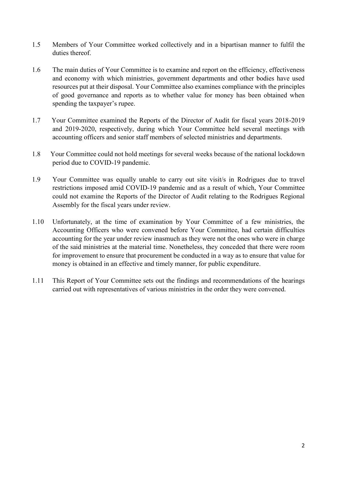- 1.5 Members of Your Committee worked collectively and in a bipartisan manner to fulfil the duties thereof
- 1.6 The main duties of Your Committee is to examine and report on the efficiency, effectiveness and economy with which ministries, government departments and other bodies have used resources put at their disposal. Your Committee also examines compliance with the principles of good governance and reports as to whether value for money has been obtained when spending the taxpayer's rupee.
- 1.7 Your Committee examined the Reports of the Director of Audit for fiscal years 2018-2019 and 2019-2020, respectively, during which Your Committee held several meetings with accounting officers and senior staff members of selected ministries and departments.
- 1.8 Your Committee could not hold meetings for several weeks because of the national lockdown period due to COVID-19 pandemic.
- 1.9 Your Committee was equally unable to carry out site visit/s in Rodrigues due to travel restrictions imposed amid COVID-19 pandemic and as a result of which, Your Committee could not examine the Reports of the Director of Audit relating to the Rodrigues Regional Assembly for the fiscal years under review.
- 1.10 Unfortunately, at the time of examination by Your Committee of a few ministries, the Accounting Officers who were convened before Your Committee, had certain difficulties accounting for the year under review inasmuch as they were not the ones who were in charge of the said ministries at the material time. Nonetheless, they conceded that there were room for improvement to ensure that procurement be conducted in a way as to ensure that value for money is obtained in an effective and timely manner, for public expenditure.
- 1.11 This Report of Your Committee sets out the findings and recommendations of the hearings carried out with representatives of various ministries in the order they were convened.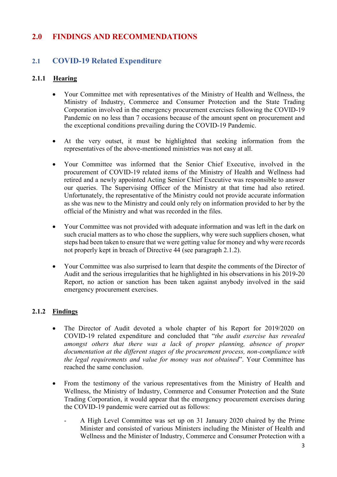# **2.0 FINDINGS AND RECOMMENDATIONS**

# **2.1 COVID-19 Related Expenditure**

# **2.1.1 Hearing**

- Your Committee met with representatives of the Ministry of Health and Wellness, the Ministry of Industry, Commerce and Consumer Protection and the State Trading Corporation involved in the emergency procurement exercises following the COVID-19 Pandemic on no less than 7 occasions because of the amount spent on procurement and the exceptional conditions prevailing during the COVID-19 Pandemic.
- At the very outset, it must be highlighted that seeking information from the representatives of the above-mentioned ministries was not easy at all.
- Your Committee was informed that the Senior Chief Executive, involved in the procurement of COVID-19 related items of the Ministry of Health and Wellness had retired and a newly appointed Acting Senior Chief Executive was responsible to answer our queries. The Supervising Officer of the Ministry at that time had also retired. Unfortunately, the representative of the Ministry could not provide accurate information as she was new to the Ministry and could only rely on information provided to her by the official of the Ministry and what was recorded in the files.
- Your Committee was not provided with adequate information and was left in the dark on such crucial matters as to who chose the suppliers, why were such suppliers chosen, what steps had been taken to ensure that we were getting value for money and why were records not properly kept in breach of Directive 44 (see paragraph 2.1.2).
- Your Committee was also surprised to learn that despite the comments of the Director of Audit and the serious irregularities that he highlighted in his observations in his 2019-20 Report, no action or sanction has been taken against anybody involved in the said emergency procurement exercises.

# **2.1.2 Findings**

- The Director of Audit devoted a whole chapter of his Report for 2019/2020 on COVID-19 related expenditure and concluded that "*the audit exercise has revealed amongst others that there was a lack of proper planning, absence of proper documentation at the different stages of the procurement process, non-compliance with the legal requirements and value for money was not obtained*". Your Committee has reached the same conclusion.
- From the testimony of the various representatives from the Ministry of Health and Wellness, the Ministry of Industry, Commerce and Consumer Protection and the State Trading Corporation, it would appear that the emergency procurement exercises during the COVID-19 pandemic were carried out as follows:
	- A High Level Committee was set up on 31 January 2020 chaired by the Prime Minister and consisted of various Ministers including the Minister of Health and Wellness and the Minister of Industry, Commerce and Consumer Protection with a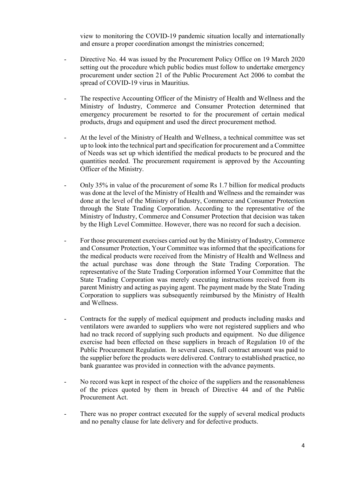view to monitoring the COVID-19 pandemic situation locally and internationally and ensure a proper coordination amongst the ministries concerned;

- Directive No. 44 was issued by the Procurement Policy Office on 19 March 2020 setting out the procedure which public bodies must follow to undertake emergency procurement under section 21 of the Public Procurement Act 2006 to combat the spread of COVID-19 virus in Mauritius.
- The respective Accounting Officer of the Ministry of Health and Wellness and the Ministry of Industry, Commerce and Consumer Protection determined that emergency procurement be resorted to for the procurement of certain medical products, drugs and equipment and used the direct procurement method.
- At the level of the Ministry of Health and Wellness, a technical committee was set up to look into the technical part and specification for procurement and a Committee of Needs was set up which identified the medical products to be procured and the quantities needed. The procurement requirement is approved by the Accounting Officer of the Ministry.
- Only 35% in value of the procurement of some Rs 1.7 billion for medical products was done at the level of the Ministry of Health and Wellness and the remainder was done at the level of the Ministry of Industry, Commerce and Consumer Protection through the State Trading Corporation. According to the representative of the Ministry of Industry, Commerce and Consumer Protection that decision was taken by the High Level Committee. However, there was no record for such a decision.
- For those procurement exercises carried out by the Ministry of Industry, Commerce and Consumer Protection, Your Committee was informed that the specifications for the medical products were received from the Ministry of Health and Wellness and the actual purchase was done through the State Trading Corporation. The representative of the State Trading Corporation informed Your Committee that the State Trading Corporation was merely executing instructions received from its parent Ministry and acting as paying agent. The payment made by the State Trading Corporation to suppliers was subsequently reimbursed by the Ministry of Health and Wellness.
- Contracts for the supply of medical equipment and products including masks and ventilators were awarded to suppliers who were not registered suppliers and who had no track record of supplying such products and equipment. No due diligence exercise had been effected on these suppliers in breach of Regulation 10 of the Public Procurement Regulation. In several cases, full contract amount was paid to the supplier before the products were delivered. Contrary to established practice, no bank guarantee was provided in connection with the advance payments.
- No record was kept in respect of the choice of the suppliers and the reasonableness of the prices quoted by them in breach of Directive 44 and of the Public Procurement Act.
- There was no proper contract executed for the supply of several medical products and no penalty clause for late delivery and for defective products.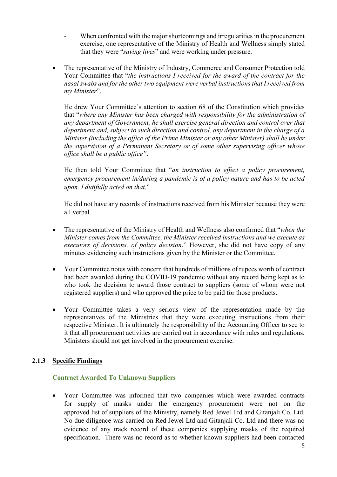- When confronted with the major shortcomings and irregularities in the procurement exercise, one representative of the Ministry of Health and Wellness simply stated that they were "*saving lives*" and were working under pressure.
- The representative of the Ministry of Industry, Commerce and Consumer Protection told Your Committee that "*the instructions I received for the award of the contract for the nasal swabs and for the other two equipment were verbal instructions that I received from my Minister*".

He drew Your Committee's attention to section 68 of the Constitution which provides that "*where any Minister has been charged with responsibility for the administration of any department of Government, he shall exercise general direction and control over that department and, subject to such direction and control, any department in the charge of a Minister (including the office of the Prime Minister or any other Minister) shall be under the supervision of a Permanent Secretary or of some other supervising officer whose office shall be a public office"*.

He then told Your Committee that "*an instruction to effect a policy procurement, emergency procurement in/during a pandemic is of a policy nature and has to be acted upon. I dutifully acted on that*."

He did not have any records of instructions received from his Minister because they were all verbal.

- The representative of the Ministry of Health and Wellness also confirmed that "*when the Minister comes from the Committee, the Minister received instructions and we execute as executors of decisions, of policy decision*." However, she did not have copy of any minutes evidencing such instructions given by the Minister or the Committee.
- Your Committee notes with concern that hundreds of millions of rupees worth of contract had been awarded during the COVID-19 pandemic without any record being kept as to who took the decision to award those contract to suppliers (some of whom were not registered suppliers) and who approved the price to be paid for those products.
- Your Committee takes a very serious view of the representation made by the representatives of the Ministries that they were executing instructions from their respective Minister. It is ultimately the responsibility of the Accounting Officer to see to it that all procurement activities are carried out in accordance with rules and regulations. Ministers should not get involved in the procurement exercise.

# **2.1.3 Specific Findings**

#### **Contract Awarded To Unknown Suppliers**

 Your Committee was informed that two companies which were awarded contracts for supply of masks under the emergency procurement were not on the approved list of suppliers of the Ministry, namely Red Jewel Ltd and Gitanjali Co. Ltd. No due diligence was carried on Red Jewel Ltd and Gitanjali Co. Ltd and there was no evidence of any track record of these companies supplying masks of the required specification. There was no record as to whether known suppliers had been contacted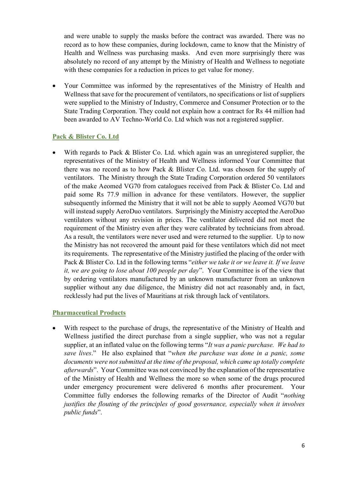and were unable to supply the masks before the contract was awarded. There was no record as to how these companies, during lockdown, came to know that the Ministry of Health and Wellness was purchasing masks. And even more surprisingly there was absolutely no record of any attempt by the Ministry of Health and Wellness to negotiate with these companies for a reduction in prices to get value for money.

 Your Committee was informed by the representatives of the Ministry of Health and Wellness that save for the procurement of ventilators, no specifications or list of suppliers were supplied to the Ministry of Industry, Commerce and Consumer Protection or to the State Trading Corporation. They could not explain how a contract for Rs 44 million had been awarded to AV Techno-World Co. Ltd which was not a registered supplier.

#### **Pack & Blister Co. Ltd**

With regards to Pack & Blister Co. Ltd. which again was an unregistered supplier, the representatives of the Ministry of Health and Wellness informed Your Committee that there was no record as to how Pack & Blister Co. Ltd. was chosen for the supply of ventilators. The Ministry through the State Trading Corporation ordered 50 ventilators of the make Aeomed VG70 from catalogues received from Pack & Blister Co. Ltd and paid some Rs 77.9 million in advance for these ventilators. However, the supplier subsequently informed the Ministry that it will not be able to supply Aeomed VG70 but will instead supply AeroDuo ventilators. Surprisingly the Ministry accepted the AeroDuo ventilators without any revision in prices. The ventilator delivered did not meet the requirement of the Ministry even after they were calibrated by technicians from abroad. As a result, the ventilators were never used and were returned to the supplier. Up to now the Ministry has not recovered the amount paid for these ventilators which did not meet its requirements. The representative of the Ministry justified the placing of the order with Pack & Blister Co. Ltd in the following terms "*either we take it or we leave it. If we leave it, we are going to lose about 100 people per day*". Your Committee is of the view that by ordering ventilators manufactured by an unknown manufacturer from an unknown supplier without any due diligence, the Ministry did not act reasonably and, in fact, recklessly had put the lives of Mauritians at risk through lack of ventilators.

#### **Pharmaceutical Products**

 With respect to the purchase of drugs, the representative of the Ministry of Health and Wellness justified the direct purchase from a single supplier, who was not a regular supplier, at an inflated value on the following terms "*It was a panic purchase. We had to save lives*." He also explained that "*when the purchase was done in a panic, some documents were not submitted at the time of the proposal, which came up totally complete afterwards*". Your Committee was not convinced by the explanation of the representative of the Ministry of Health and Wellness the more so when some of the drugs procured under emergency procurement were delivered 6 months after procurement. Your Committee fully endorses the following remarks of the Director of Audit "*nothing justifies the flouting of the principles of good governance, especially when it involves public funds*".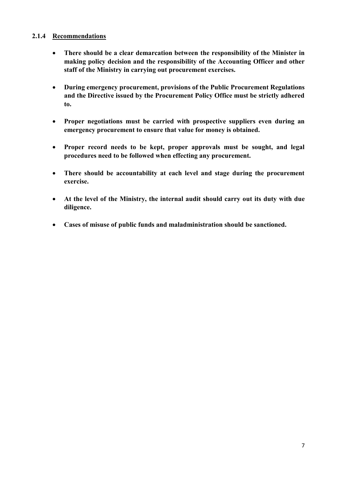#### **2.1.4 Recommendations**

- **There should be a clear demarcation between the responsibility of the Minister in making policy decision and the responsibility of the Accounting Officer and other staff of the Ministry in carrying out procurement exercises.**
- **During emergency procurement, provisions of the Public Procurement Regulations and the Directive issued by the Procurement Policy Office must be strictly adhered to.**
- **Proper negotiations must be carried with prospective suppliers even during an emergency procurement to ensure that value for money is obtained.**
- **Proper record needs to be kept, proper approvals must be sought, and legal procedures need to be followed when effecting any procurement.**
- **There should be accountability at each level and stage during the procurement exercise.**
- **At the level of the Ministry, the internal audit should carry out its duty with due diligence.**
- **Cases of misuse of public funds and maladministration should be sanctioned.**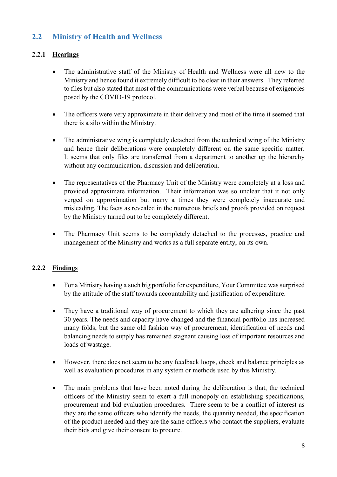# **2.2 Ministry of Health and Wellness**

# **2.2.1 Hearings**

- The administrative staff of the Ministry of Health and Wellness were all new to the Ministry and hence found it extremely difficult to be clear in their answers. They referred to files but also stated that most of the communications were verbal because of exigencies posed by the COVID-19 protocol.
- The officers were very approximate in their delivery and most of the time it seemed that there is a silo within the Ministry.
- The administrative wing is completely detached from the technical wing of the Ministry and hence their deliberations were completely different on the same specific matter. It seems that only files are transferred from a department to another up the hierarchy without any communication, discussion and deliberation.
- The representatives of the Pharmacy Unit of the Ministry were completely at a loss and provided approximate information. Their information was so unclear that it not only verged on approximation but many a times they were completely inaccurate and misleading. The facts as revealed in the numerous briefs and proofs provided on request by the Ministry turned out to be completely different.
- The Pharmacy Unit seems to be completely detached to the processes, practice and management of the Ministry and works as a full separate entity, on its own.

# **2.2.2 Findings**

- For a Ministry having a such big portfolio for expenditure, Your Committee was surprised by the attitude of the staff towards accountability and justification of expenditure.
- They have a traditional way of procurement to which they are adhering since the past 30 years. The needs and capacity have changed and the financial portfolio has increased many folds, but the same old fashion way of procurement, identification of needs and balancing needs to supply has remained stagnant causing loss of important resources and loads of wastage.
- However, there does not seem to be any feedback loops, check and balance principles as well as evaluation procedures in any system or methods used by this Ministry.
- The main problems that have been noted during the deliberation is that, the technical officers of the Ministry seem to exert a full monopoly on establishing specifications, procurement and bid evaluation procedures. There seem to be a conflict of interest as they are the same officers who identify the needs, the quantity needed, the specification of the product needed and they are the same officers who contact the suppliers, evaluate their bids and give their consent to procure.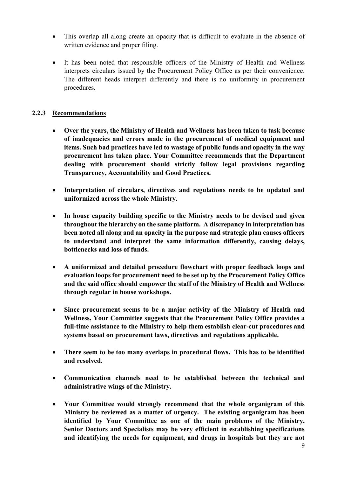- This overlap all along create an opacity that is difficult to evaluate in the absence of written evidence and proper filing.
- It has been noted that responsible officers of the Ministry of Health and Wellness interprets circulars issued by the Procurement Policy Office as per their convenience. The different heads interpret differently and there is no uniformity in procurement procedures.

# **2.2.3 Recommendations**

- **Over the years, the Ministry of Health and Wellness has been taken to task because of inadequacies and errors made in the procurement of medical equipment and items. Such bad practices have led to wastage of public funds and opacity in the way procurement has taken place. Your Committee recommends that the Department dealing with procurement should strictly follow legal provisions regarding Transparency, Accountability and Good Practices.**
- **Interpretation of circulars, directives and regulations needs to be updated and uniformized across the whole Ministry.**
- **In house capacity building specific to the Ministry needs to be devised and given throughout the hierarchy on the same platform. A discrepancy in interpretation has been noted all along and an opacity in the purpose and strategic plan causes officers to understand and interpret the same information differently, causing delays, bottlenecks and loss of funds.**
- **A uniformized and detailed procedure flowchart with proper feedback loops and evaluation loops for procurement need to be set up by the Procurement Policy Office and the said office should empower the staff of the Ministry of Health and Wellness through regular in house workshops.**
- **Since procurement seems to be a major activity of the Ministry of Health and Wellness, Your Committee suggests that the Procurement Policy Office provides a full-time assistance to the Ministry to help them establish clear-cut procedures and systems based on procurement laws, directives and regulations applicable.**
- **There seem to be too many overlaps in procedural flows. This has to be identified and resolved.**
- **Communication channels need to be established between the technical and administrative wings of the Ministry.**
- **Your Committee would strongly recommend that the whole organigram of this Ministry be reviewed as a matter of urgency. The existing organigram has been identified by Your Committee as one of the main problems of the Ministry. Senior Doctors and Specialists may be very efficient in establishing specifications and identifying the needs for equipment, and drugs in hospitals but they are not**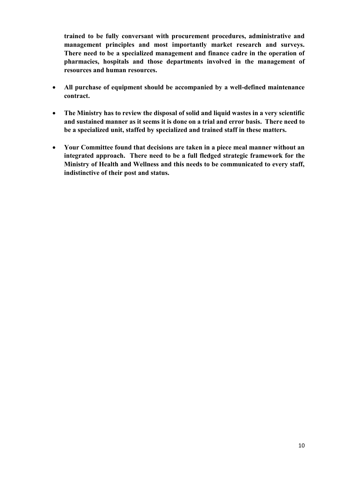**trained to be fully conversant with procurement procedures, administrative and management principles and most importantly market research and surveys. There need to be a specialized management and finance cadre in the operation of pharmacies, hospitals and those departments involved in the management of resources and human resources.**

- **All purchase of equipment should be accompanied by a well-defined maintenance contract.**
- **The Ministry has to review the disposal of solid and liquid wastes in a very scientific and sustained manner as it seems it is done on a trial and error basis. There need to be a specialized unit, staffed by specialized and trained staff in these matters.**
- **Your Committee found that decisions are taken in a piece meal manner without an integrated approach. There need to be a full fledged strategic framework for the Ministry of Health and Wellness and this needs to be communicated to every staff, indistinctive of their post and status.**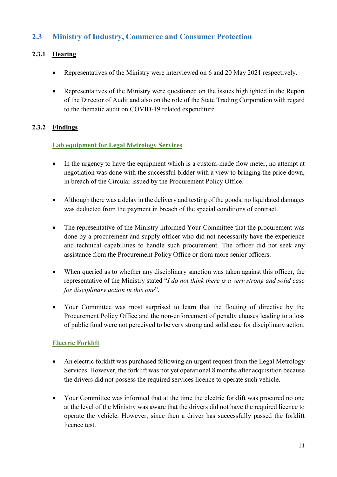# **2.3 Ministry of Industry, Commerce and Consumer Protection**

# **2.3.1 Hearing**

- Representatives of the Ministry were interviewed on 6 and 20 May 2021 respectively.
- Representatives of the Ministry were questioned on the issues highlighted in the Report of the Director of Audit and also on the role of the State Trading Corporation with regard to the thematic audit on COVID-19 related expenditure.

# **2.3.2 Findings**

# **Lab equipment for Legal Metrology Services**

- In the urgency to have the equipment which is a custom-made flow meter, no attempt at negotiation was done with the successful bidder with a view to bringing the price down, in breach of the Circular issued by the Procurement Policy Office.
- Although there was a delay in the delivery and testing of the goods, no liquidated damages was deducted from the payment in breach of the special conditions of contract.
- The representative of the Ministry informed Your Committee that the procurement was done by a procurement and supply officer who did not necessarily have the experience and technical capabilities to handle such procurement. The officer did not seek any assistance from the Procurement Policy Office or from more senior officers.
- When queried as to whether any disciplinary sanction was taken against this officer, the representative of the Ministry stated "*I do not think there is a very strong and solid case for disciplinary action in this one*".
- Your Committee was most surprised to learn that the flouting of directive by the Procurement Policy Office and the non-enforcement of penalty clauses leading to a loss of public fund were not perceived to be very strong and solid case for disciplinary action.

# **Electric Forklift**

- An electric forklift was purchased following an urgent request from the Legal Metrology Services. However, the forklift was not yet operational 8 months after acquisition because the drivers did not possess the required services licence to operate such vehicle.
- Your Committee was informed that at the time the electric forklift was procured no one at the level of the Ministry was aware that the drivers did not have the required licence to operate the vehicle. However, since then a driver has successfully passed the forklift licence test.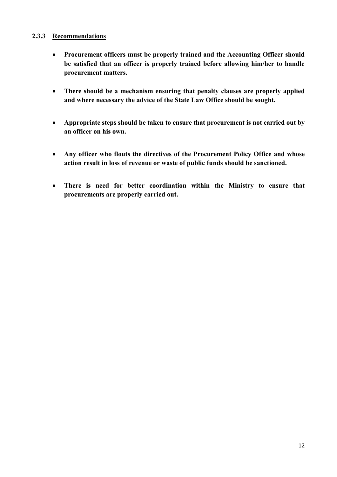#### **2.3.3 Recommendations**

- **Procurement officers must be properly trained and the Accounting Officer should be satisfied that an officer is properly trained before allowing him/her to handle procurement matters.**
- **There should be a mechanism ensuring that penalty clauses are properly applied and where necessary the advice of the State Law Office should be sought.**
- **Appropriate steps should be taken to ensure that procurement is not carried out by an officer on his own.**
- **Any officer who flouts the directives of the Procurement Policy Office and whose action result in loss of revenue or waste of public funds should be sanctioned.**
- **There is need for better coordination within the Ministry to ensure that procurements are properly carried out.**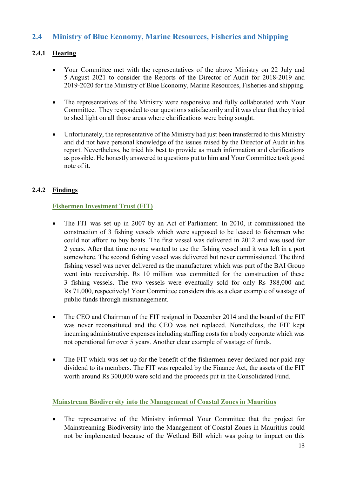# **2.4 Ministry of Blue Economy, Marine Resources, Fisheries and Shipping**

# **2.4.1 Hearing**

- Your Committee met with the representatives of the above Ministry on 22 July and 5 August 2021 to consider the Reports of the Director of Audit for 2018-2019 and 2019-2020 for the Ministry of Blue Economy, Marine Resources, Fisheries and shipping.
- The representatives of the Ministry were responsive and fully collaborated with Your Committee. They responded to our questions satisfactorily and it was clear that they tried to shed light on all those areas where clarifications were being sought.
- Unfortunately, the representative of the Ministry had just been transferred to this Ministry and did not have personal knowledge of the issues raised by the Director of Audit in his report. Nevertheless, he tried his best to provide as much information and clarifications as possible. He honestly answered to questions put to him and Your Committee took good note of it.

# **2.4.2 Findings**

#### **Fishermen Investment Trust (FIT)**

- The FIT was set up in 2007 by an Act of Parliament. In 2010, it commissioned the construction of 3 fishing vessels which were supposed to be leased to fishermen who could not afford to buy boats. The first vessel was delivered in 2012 and was used for 2 years. After that time no one wanted to use the fishing vessel and it was left in a port somewhere. The second fishing vessel was delivered but never commissioned. The third fishing vessel was never delivered as the manufacturer which was part of the BAI Group went into receivership. Rs 10 million was committed for the construction of these 3 fishing vessels. The two vessels were eventually sold for only Rs 388,000 and Rs 71,000, respectively! Your Committee considers this as a clear example of wastage of public funds through mismanagement.
- The CEO and Chairman of the FIT resigned in December 2014 and the board of the FIT was never reconstituted and the CEO was not replaced. Nonetheless, the FIT kept incurring administrative expenses including staffing costs for a body corporate which was not operational for over 5 years. Another clear example of wastage of funds.
- The FIT which was set up for the benefit of the fishermen never declared nor paid any dividend to its members. The FIT was repealed by the Finance Act, the assets of the FIT worth around Rs 300,000 were sold and the proceeds put in the Consolidated Fund.

#### **Mainstream Biodiversity into the Management of Coastal Zones in Mauritius**

• The representative of the Ministry informed Your Committee that the project for Mainstreaming Biodiversity into the Management of Coastal Zones in Mauritius could not be implemented because of the Wetland Bill which was going to impact on this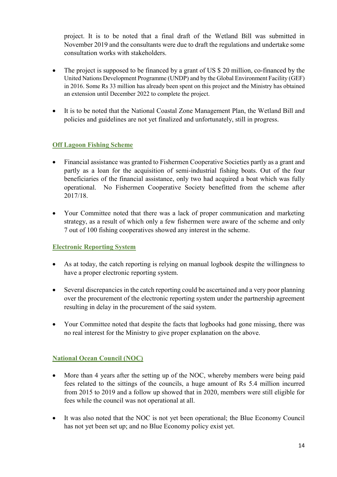project. It is to be noted that a final draft of the Wetland Bill was submitted in November 2019 and the consultants were due to draft the regulations and undertake some consultation works with stakeholders.

- The project is supposed to be financed by a grant of US \$ 20 million, co-financed by the United Nations Development Programme (UNDP) and by the Global Environment Facility (GEF) in 2016. Some Rs 33 million has already been spent on this project and the Ministry has obtained an extension until December 2022 to complete the project.
- It is to be noted that the National Coastal Zone Management Plan, the Wetland Bill and policies and guidelines are not yet finalized and unfortunately, still in progress.

# **Off Lagoon Fishing Scheme**

- Financial assistance was granted to Fishermen Cooperative Societies partly as a grant and partly as a loan for the acquisition of semi-industrial fishing boats. Out of the four beneficiaries of the financial assistance, only two had acquired a boat which was fully operational. No Fishermen Cooperative Society benefitted from the scheme after 2017/18.
- Your Committee noted that there was a lack of proper communication and marketing strategy, as a result of which only a few fishermen were aware of the scheme and only 7 out of 100 fishing cooperatives showed any interest in the scheme.

# **Electronic Reporting System**

- As at today, the catch reporting is relying on manual logbook despite the willingness to have a proper electronic reporting system.
- Several discrepancies in the catch reporting could be ascertained and a very poor planning over the procurement of the electronic reporting system under the partnership agreement resulting in delay in the procurement of the said system.
- Your Committee noted that despite the facts that logbooks had gone missing, there was no real interest for the Ministry to give proper explanation on the above.

# **National Ocean Council (NOC)**

- More than 4 years after the setting up of the NOC, whereby members were being paid fees related to the sittings of the councils, a huge amount of Rs 5.4 million incurred from 2015 to 2019 and a follow up showed that in 2020, members were still eligible for fees while the council was not operational at all.
- It was also noted that the NOC is not yet been operational; the Blue Economy Council has not yet been set up; and no Blue Economy policy exist yet.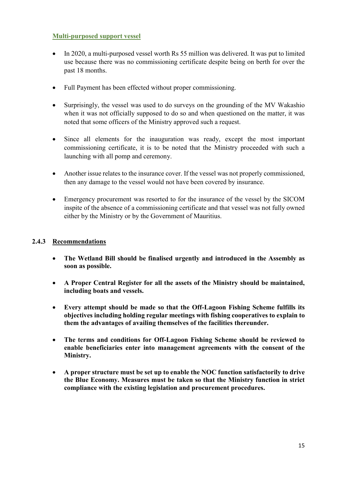#### **Multi-purposed support vessel**

- In 2020, a multi-purposed vessel worth Rs 55 million was delivered. It was put to limited use because there was no commissioning certificate despite being on berth for over the past 18 months.
- Full Payment has been effected without proper commissioning.
- Surprisingly, the vessel was used to do surveys on the grounding of the MV Wakashio when it was not officially supposed to do so and when questioned on the matter, it was noted that some officers of the Ministry approved such a request.
- Since all elements for the inauguration was ready, except the most important commissioning certificate, it is to be noted that the Ministry proceeded with such a launching with all pomp and ceremony.
- Another issue relates to the insurance cover. If the vessel was not properly commissioned, then any damage to the vessel would not have been covered by insurance.
- Emergency procurement was resorted to for the insurance of the vessel by the SICOM inspite of the absence of a commissioning certificate and that vessel was not fully owned either by the Ministry or by the Government of Mauritius.

# **2.4.3 Recommendations**

- **The Wetland Bill should be finalised urgently and introduced in the Assembly as soon as possible.**
- **A Proper Central Register for all the assets of the Ministry should be maintained, including boats and vessels.**
- **Every attempt should be made so that the Off-Lagoon Fishing Scheme fulfills its objectives including holding regular meetings with fishing cooperatives to explain to them the advantages of availing themselves of the facilities thereunder.**
- **The terms and conditions for Off-Lagoon Fishing Scheme should be reviewed to enable beneficiaries enter into management agreements with the consent of the Ministry.**
- **A proper structure must be set up to enable the NOC function satisfactorily to drive the Blue Economy. Measures must be taken so that the Ministry function in strict compliance with the existing legislation and procurement procedures.**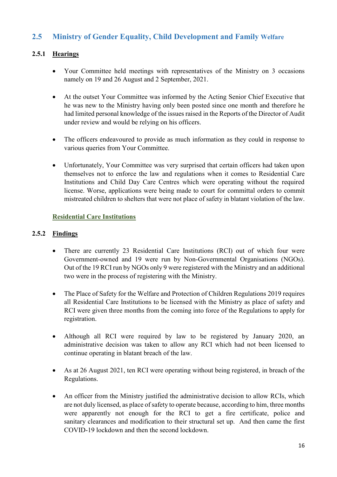# **2.5 Ministry of Gender Equality, Child Development and Family Welfare**

# **2.5.1 Hearings**

- Your Committee held meetings with representatives of the Ministry on 3 occasions namely on 19 and 26 August and 2 September, 2021.
- At the outset Your Committee was informed by the Acting Senior Chief Executive that he was new to the Ministry having only been posted since one month and therefore he had limited personal knowledge of the issues raised in the Reports of the Director of Audit under review and would be relying on his officers.
- The officers endeavoured to provide as much information as they could in response to various queries from Your Committee.
- Unfortunately, Your Committee was very surprised that certain officers had taken upon themselves not to enforce the law and regulations when it comes to Residential Care Institutions and Child Day Care Centres which were operating without the required license. Worse, applications were being made to court for committal orders to commit mistreated children to shelters that were not place of safety in blatant violation of the law.

# **Residential Care Institutions**

#### **2.5.2 Findings**

- There are currently 23 Residential Care Institutions (RCI) out of which four were Government-owned and 19 were run by Non-Governmental Organisations (NGOs). Out of the 19 RCI run by NGOs only 9 were registered with the Ministry and an additional two were in the process of registering with the Ministry.
- The Place of Safety for the Welfare and Protection of Children Regulations 2019 requires all Residential Care Institutions to be licensed with the Ministry as place of safety and RCI were given three months from the coming into force of the Regulations to apply for registration.
- Although all RCI were required by law to be registered by January 2020, an administrative decision was taken to allow any RCI which had not been licensed to continue operating in blatant breach of the law.
- As at 26 August 2021, ten RCI were operating without being registered, in breach of the Regulations.
- An officer from the Ministry justified the administrative decision to allow RCIs, which are not duly licensed, as place of safety to operate because, according to him, three months were apparently not enough for the RCI to get a fire certificate, police and sanitary clearances and modification to their structural set up. And then came the first COVID-19 lockdown and then the second lockdown.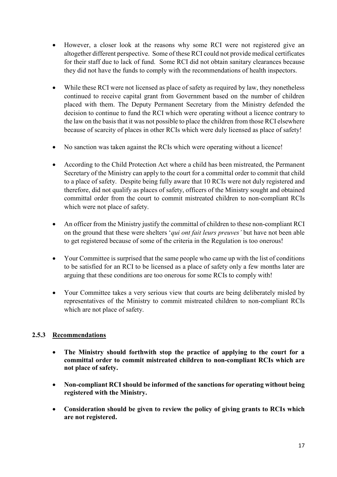- However, a closer look at the reasons why some RCI were not registered give an altogether different perspective. Some of these RCI could not provide medical certificates for their staff due to lack of fund. Some RCI did not obtain sanitary clearances because they did not have the funds to comply with the recommendations of health inspectors.
- While these RCI were not licensed as place of safety as required by law, they nonetheless continued to receive capital grant from Government based on the number of children placed with them. The Deputy Permanent Secretary from the Ministry defended the decision to continue to fund the RCI which were operating without a licence contrary to the law on the basis that it was not possible to place the children from those RCI elsewhere because of scarcity of places in other RCIs which were duly licensed as place of safety!
- No sanction was taken against the RCIs which were operating without a licence!
- According to the Child Protection Act where a child has been mistreated, the Permanent Secretary of the Ministry can apply to the court for a committal order to commit that child to a place of safety. Despite being fully aware that 10 RCIs were not duly registered and therefore, did not qualify as places of safety, officers of the Ministry sought and obtained committal order from the court to commit mistreated children to non-compliant RCIs which were not place of safety.
- An officer from the Ministry justify the committal of children to these non-compliant RCI on the ground that these were shelters '*qui ont fait leurs preuves'* but have not been able to get registered because of some of the criteria in the Regulation is too onerous!
- Your Committee is surprised that the same people who came up with the list of conditions to be satisfied for an RCI to be licensed as a place of safety only a few months later are arguing that these conditions are too onerous for some RCIs to comply with!
- Your Committee takes a very serious view that courts are being deliberately misled by representatives of the Ministry to commit mistreated children to non-compliant RCIs which are not place of safety.

# **2.5.3 Recommendations**

- **The Ministry should forthwith stop the practice of applying to the court for a committal order to commit mistreated children to non-compliant RCIs which are not place of safety.**
- **Non-compliant RCI should be informed of the sanctions for operating without being registered with the Ministry.**
- **Consideration should be given to review the policy of giving grants to RCIs which are not registered.**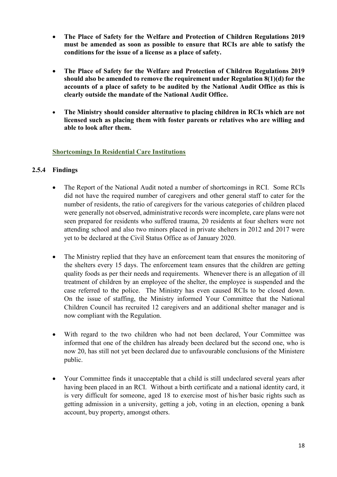- **The Place of Safety for the Welfare and Protection of Children Regulations 2019 must be amended as soon as possible to ensure that RCIs are able to satisfy the conditions for the issue of a license as a place of safety.**
- **The Place of Safety for the Welfare and Protection of Children Regulations 2019 should also be amended to remove the requirement under Regulation 8(1)(d) for the accounts of a place of safety to be audited by the National Audit Office as this is clearly outside the mandate of the National Audit Office.**
- **The Ministry should consider alternative to placing children in RCIs which are not licensed such as placing them with foster parents or relatives who are willing and able to look after them.**

#### **Shortcomings In Residential Care Institutions**

#### **2.5.4 Findings**

- The Report of the National Audit noted a number of shortcomings in RCI. Some RCIs did not have the required number of caregivers and other general staff to cater for the number of residents, the ratio of caregivers for the various categories of children placed were generally not observed, administrative records were incomplete, care plans were not seen prepared for residents who suffered trauma, 20 residents at four shelters were not attending school and also two minors placed in private shelters in 2012 and 2017 were yet to be declared at the Civil Status Office as of January 2020.
- The Ministry replied that they have an enforcement team that ensures the monitoring of the shelters every 15 days. The enforcement team ensures that the children are getting quality foods as per their needs and requirements. Whenever there is an allegation of ill treatment of children by an employee of the shelter, the employee is suspended and the case referred to the police. The Ministry has even caused RCIs to be closed down. On the issue of staffing, the Ministry informed Your Committee that the National Children Council has recruited 12 caregivers and an additional shelter manager and is now compliant with the Regulation.
- With regard to the two children who had not been declared, Your Committee was informed that one of the children has already been declared but the second one, who is now 20, has still not yet been declared due to unfavourable conclusions of the Ministere public.
- Your Committee finds it unacceptable that a child is still undeclared several years after having been placed in an RCI. Without a birth certificate and a national identity card, it is very difficult for someone, aged 18 to exercise most of his/her basic rights such as getting admission in a university, getting a job, voting in an election, opening a bank account, buy property, amongst others.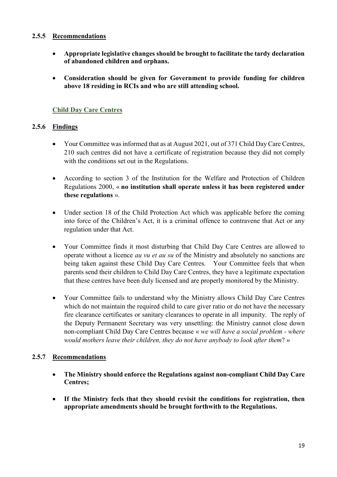#### **2.5.5 Recommendations**

- **Appropriate legislative changes should be brought to facilitate the tardy declaration of abandoned children and orphans.**
- **Consideration should be given for Government to provide funding for children above 18 residing in RCIs and who are still attending school.**

# **Child Day Care Centres**

# **2.5.6 Findings**

- Your Committee was informed that as at August 2021, out of 371 Child Day Care Centres, 210 such centres did not have a certificate of registration because they did not comply with the conditions set out in the Regulations.
- According to section 3 of the Institution for the Welfare and Protection of Children Regulations 2000, « **no institution shall operate unless it has been registered under these regulations** ».
- Under section 18 of the Child Protection Act which was applicable before the coming into force of the Children's Act, it is a criminal offence to contravene that Act or any regulation under that Act.
- Your Committee finds it most disturbing that Child Day Care Centres are allowed to operate without a licence *au vu et au su* of the Ministry and absolutely no sanctions are being taken against these Child Day Care Centres. Your Committee feels that when parents send their children to Child Day Care Centres, they have a legitimate expectation that these centres have been duly licensed and are properly monitored by the Ministry.
- Your Committee fails to understand why the Ministry allows Child Day Care Centres which do not maintain the required child to care giver ratio or do not have the necessary fire clearance certificates or sanitary clearances to operate in all impunity. The reply of the Deputy Permanent Secretary was very unsettling: the Ministry cannot close down non-compliant Child Day Care Centres because « *we will have a social problem - where would mothers leave their children, they do not have anybody to look after them*? »

# **2.5.7 Recommendations**

- **The Ministry should enforce the Regulations against non-compliant Child Day Care Centres;**
- **If the Ministry feels that they should revisit the conditions for registration, then appropriate amendments should be brought forthwith to the Regulations.**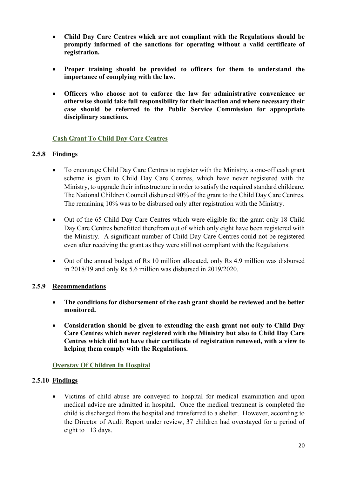- **Child Day Care Centres which are not compliant with the Regulations should be promptly informed of the sanctions for operating without a valid certificate of registration.**
- **Proper training should be provided to officers for them to understand the importance of complying with the law.**
- **Officers who choose not to enforce the law for administrative convenience or otherwise should take full responsibility for their inaction and where necessary their case should be referred to the Public Service Commission for appropriate disciplinary sanctions.**

#### **Cash Grant To Child Day Care Centres**

#### **2.5.8 Findings**

- To encourage Child Day Care Centres to register with the Ministry, a one-off cash grant scheme is given to Child Day Care Centres, which have never registered with the Ministry, to upgrade their infrastructure in order to satisfy the required standard childcare. The National Children Council disbursed 90% of the grant to the Child Day Care Centres. The remaining 10% was to be disbursed only after registration with the Ministry.
- Out of the 65 Child Day Care Centres which were eligible for the grant only 18 Child Day Care Centres benefitted therefrom out of which only eight have been registered with the Ministry. A significant number of Child Day Care Centres could not be registered even after receiving the grant as they were still not compliant with the Regulations.
- Out of the annual budget of Rs 10 million allocated, only Rs 4.9 million was disbursed in 2018/19 and only Rs 5.6 million was disbursed in 2019/2020.

#### **2.5.9 Recommendations**

- **The conditions for disbursement of the cash grant should be reviewed and be better monitored.**
- **Consideration should be given to extending the cash grant not only to Child Day Care Centres which never registered with the Ministry but also to Child Day Care Centres which did not have their certificate of registration renewed, with a view to helping them comply with the Regulations.**

#### **Overstay Of Children In Hospital**

#### **2.5.10 Findings**

 Victims of child abuse are conveyed to hospital for medical examination and upon medical advice are admitted in hospital. Once the medical treatment is completed the child is discharged from the hospital and transferred to a shelter. However, according to the Director of Audit Report under review, 37 children had overstayed for a period of eight to 113 days.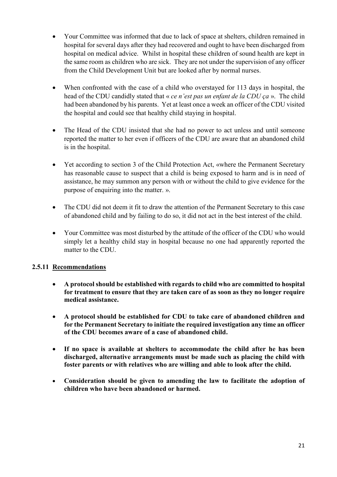- Your Committee was informed that due to lack of space at shelters, children remained in hospital for several days after they had recovered and ought to have been discharged from hospital on medical advice. Whilst in hospital these children of sound health are kept in the same room as children who are sick. They are not under the supervision of any officer from the Child Development Unit but are looked after by normal nurses.
- When confronted with the case of a child who overstayed for 113 days in hospital, the head of the CDU candidly stated that « *ce n'est pas un enfant de la CDU ça* ». The child had been abandoned by his parents. Yet at least once a week an officer of the CDU visited the hospital and could see that healthy child staying in hospital.
- The Head of the CDU insisted that she had no power to act unless and until someone reported the matter to her even if officers of the CDU are aware that an abandoned child is in the hospital.
- Yet according to section 3 of the Child Protection Act, «where the Permanent Secretary has reasonable cause to suspect that a child is being exposed to harm and is in need of assistance, he may summon any person with or without the child to give evidence for the purpose of enquiring into the matter. ».
- The CDU did not deem it fit to draw the attention of the Permanent Secretary to this case of abandoned child and by failing to do so, it did not act in the best interest of the child.
- Your Committee was most disturbed by the attitude of the officer of the CDU who would simply let a healthy child stay in hospital because no one had apparently reported the matter to the CDU.

# **2.5.11 Recommendations**

- **A protocol should be established with regards to child who are committed to hospital for treatment to ensure that they are taken care of as soon as they no longer require medical assistance.**
- **A protocol should be established for CDU to take care of abandoned children and for the Permanent Secretary to initiate the required investigation any time an officer of the CDU becomes aware of a case of abandoned child.**
- **If no space is available at shelters to accommodate the child after he has been discharged, alternative arrangements must be made such as placing the child with foster parents or with relatives who are willing and able to look after the child.**
- **Consideration should be given to amending the law to facilitate the adoption of children who have been abandoned or harmed.**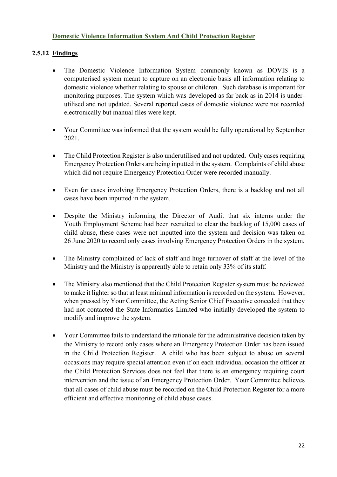#### **Domestic Violence Information System And Child Protection Register**

# **2.5.12 Findings**

- The Domestic Violence Information System commonly known as DOVIS is a computerised system meant to capture on an electronic basis all information relating to domestic violence whether relating to spouse or children. Such database is important for monitoring purposes. The system which was developed as far back as in 2014 is underutilised and not updated. Several reported cases of domestic violence were not recorded electronically but manual files were kept.
- Your Committee was informed that the system would be fully operational by September 2021.
- The Child Protection Register is also underutilised and not updated**.** Only cases requiring Emergency Protection Orders are being inputted in the system. Complaints of child abuse which did not require Emergency Protection Order were recorded manually.
- Even for cases involving Emergency Protection Orders, there is a backlog and not all cases have been inputted in the system.
- Despite the Ministry informing the Director of Audit that six interns under the Youth Employment Scheme had been recruited to clear the backlog of 15,000 cases of child abuse, these cases were not inputted into the system and decision was taken on 26 June 2020 to record only cases involving Emergency Protection Orders in the system.
- The Ministry complained of lack of staff and huge turnover of staff at the level of the Ministry and the Ministry is apparently able to retain only 33% of its staff.
- The Ministry also mentioned that the Child Protection Register system must be reviewed to make it lighter so that at least minimal information is recorded on the system. However, when pressed by Your Committee, the Acting Senior Chief Executive conceded that they had not contacted the State Informatics Limited who initially developed the system to modify and improve the system.
- Your Committee fails to understand the rationale for the administrative decision taken by the Ministry to record only cases where an Emergency Protection Order has been issued in the Child Protection Register. A child who has been subject to abuse on several occasions may require special attention even if on each individual occasion the officer at the Child Protection Services does not feel that there is an emergency requiring court intervention and the issue of an Emergency Protection Order. Your Committee believes that all cases of child abuse must be recorded on the Child Protection Register for a more efficient and effective monitoring of child abuse cases.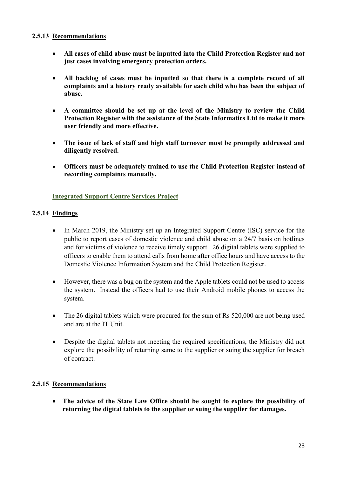#### **2.5.13 Recommendations**

- **All cases of child abuse must be inputted into the Child Protection Register and not just cases involving emergency protection orders.**
- **All backlog of cases must be inputted so that there is a complete record of all complaints and a history ready available for each child who has been the subject of abuse.**
- **A committee should be set up at the level of the Ministry to review the Child Protection Register with the assistance of the State Informatics Ltd to make it more user friendly and more effective.**
- **The issue of lack of staff and high staff turnover must be promptly addressed and diligently resolved.**
- **Officers must be adequately trained to use the Child Protection Register instead of recording complaints manually.**

#### **Integrated Support Centre Services Project**

# **2.5.14 Findings**

- In March 2019, the Ministry set up an Integrated Support Centre (ISC) service for the public to report cases of domestic violence and child abuse on a 24/7 basis on hotlines and for victims of violence to receive timely support. 26 digital tablets were supplied to officers to enable them to attend calls from home after office hours and have access to the Domestic Violence Information System and the Child Protection Register.
- However, there was a bug on the system and the Apple tablets could not be used to access the system. Instead the officers had to use their Android mobile phones to access the system.
- The 26 digital tablets which were procured for the sum of Rs 520,000 are not being used and are at the IT Unit.
- Despite the digital tablets not meeting the required specifications, the Ministry did not explore the possibility of returning same to the supplier or suing the supplier for breach of contract.

# **2.5.15 Recommendations**

 **The advice of the State Law Office should be sought to explore the possibility of returning the digital tablets to the supplier or suing the supplier for damages.**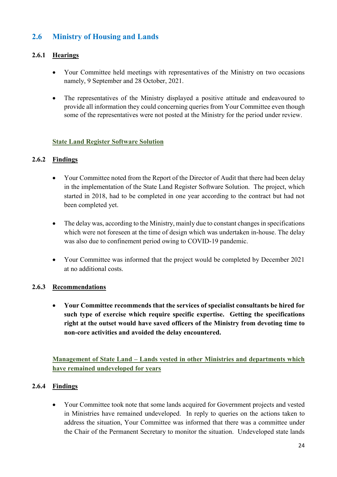# **2.6 Ministry of Housing and Lands**

# **2.6.1 Hearings**

- Your Committee held meetings with representatives of the Ministry on two occasions namely, 9 September and 28 October, 2021.
- The representatives of the Ministry displayed a positive attitude and endeavoured to provide all information they could concerning queries from Your Committee even though some of the representatives were not posted at the Ministry for the period under review.

#### **State Land Register Software Solution**

# **2.6.2 Findings**

- Your Committee noted from the Report of the Director of Audit that there had been delay in the implementation of the State Land Register Software Solution. The project, which started in 2018, had to be completed in one year according to the contract but had not been completed yet.
- The delay was, according to the Ministry, mainly due to constant changes in specifications which were not foreseen at the time of design which was undertaken in-house. The delay was also due to confinement period owing to COVID-19 pandemic.
- Your Committee was informed that the project would be completed by December 2021 at no additional costs.

# **2.6.3 Recommendations**

 **Your Committee recommends that the services of specialist consultants be hired for such type of exercise which require specific expertise. Getting the specifications right at the outset would have saved officers of the Ministry from devoting time to non-core activities and avoided the delay encountered.**

**Management of State Land – Lands vested in other Ministries and departments which have remained undeveloped for years**

# **2.6.4 Findings**

 Your Committee took note that some lands acquired for Government projects and vested in Ministries have remained undeveloped. In reply to queries on the actions taken to address the situation, Your Committee was informed that there was a committee under the Chair of the Permanent Secretary to monitor the situation. Undeveloped state lands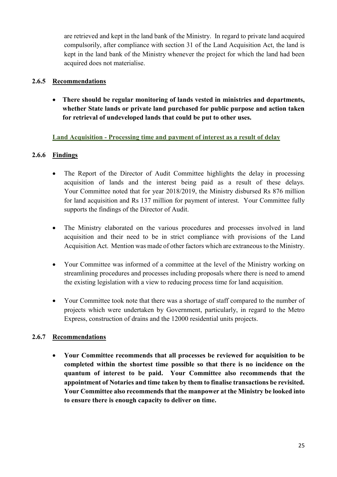are retrieved and kept in the land bank of the Ministry. In regard to private land acquired compulsorily, after compliance with section 31 of the Land Acquisition Act, the land is kept in the land bank of the Ministry whenever the project for which the land had been acquired does not materialise.

### **2.6.5 Recommendations**

 **There should be regular monitoring of lands vested in ministries and departments, whether State lands or private land purchased for public purpose and action taken for retrieval of undeveloped lands that could be put to other uses.**

#### **Land Acquisition - Processing time and payment of interest as a result of delay**

# **2.6.6 Findings**

- The Report of the Director of Audit Committee highlights the delay in processing acquisition of lands and the interest being paid as a result of these delays. Your Committee noted that for year 2018/2019, the Ministry disbursed Rs 876 million for land acquisition and Rs 137 million for payment of interest. Your Committee fully supports the findings of the Director of Audit.
- The Ministry elaborated on the various procedures and processes involved in land acquisition and their need to be in strict compliance with provisions of the Land Acquisition Act. Mention was made of other factors which are extraneous to the Ministry.
- Your Committee was informed of a committee at the level of the Ministry working on streamlining procedures and processes including proposals where there is need to amend the existing legislation with a view to reducing process time for land acquisition.
- Your Committee took note that there was a shortage of staff compared to the number of projects which were undertaken by Government, particularly, in regard to the Metro Express, construction of drains and the 12000 residential units projects.

# **2.6.7 Recommendations**

 **Your Committee recommends that all processes be reviewed for acquisition to be completed within the shortest time possible so that there is no incidence on the quantum of interest to be paid. Your Committee also recommends that the appointment of Notaries and time taken by them to finalise transactions be revisited. Your Committee also recommends that the manpower at the Ministry be looked into to ensure there is enough capacity to deliver on time.**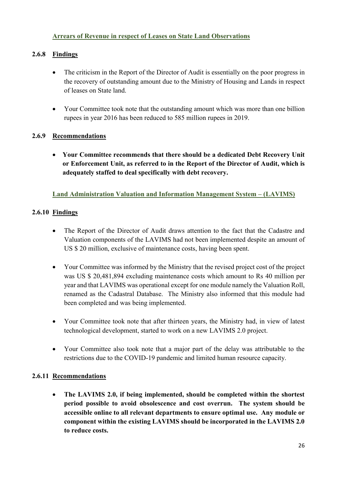# **Arrears of Revenue in respect of Leases on State Land Observations**

# **2.6.8 Findings**

- The criticism in the Report of the Director of Audit is essentially on the poor progress in the recovery of outstanding amount due to the Ministry of Housing and Lands in respect of leases on State land.
- Your Committee took note that the outstanding amount which was more than one billion rupees in year 2016 has been reduced to 585 million rupees in 2019.

# **2.6.9 Recommendations**

 **Your Committee recommends that there should be a dedicated Debt Recovery Unit or Enforcement Unit, as referred to in the Report of the Director of Audit, which is adequately staffed to deal specifically with debt recovery.**

# **Land Administration Valuation and Information Management System – (LAVIMS)**

# **2.6.10 Findings**

- The Report of the Director of Audit draws attention to the fact that the Cadastre and Valuation components of the LAVIMS had not been implemented despite an amount of US \$ 20 million, exclusive of maintenance costs, having been spent.
- Your Committee was informed by the Ministry that the revised project cost of the project was US \$ 20,481,894 excluding maintenance costs which amount to Rs 40 million per year and that LAVIMS was operational except for one module namely the Valuation Roll, renamed as the Cadastral Database. The Ministry also informed that this module had been completed and was being implemented.
- Your Committee took note that after thirteen years, the Ministry had, in view of latest technological development, started to work on a new LAVIMS 2.0 project.
- Your Committee also took note that a major part of the delay was attributable to the restrictions due to the COVID-19 pandemic and limited human resource capacity.

# **2.6.11 Recommendations**

 **The LAVIMS 2.0, if being implemented, should be completed within the shortest period possible to avoid obsolescence and cost overrun. The system should be accessible online to all relevant departments to ensure optimal use. Any module or component within the existing LAVIMS should be incorporated in the LAVIMS 2.0 to reduce costs.**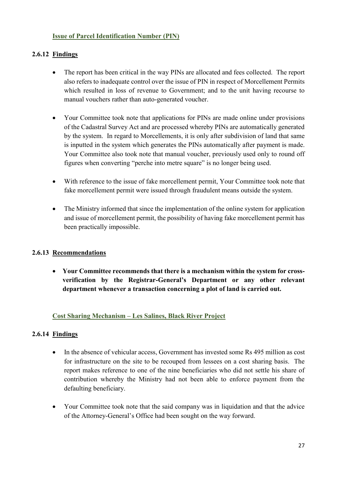### **Issue of Parcel Identification Number (PIN)**

# **2.6.12 Findings**

- The report has been critical in the way PINs are allocated and fees collected. The report also refers to inadequate control over the issue of PIN in respect of Morcellement Permits which resulted in loss of revenue to Government; and to the unit having recourse to manual vouchers rather than auto-generated voucher.
- Your Committee took note that applications for PINs are made online under provisions of the Cadastral Survey Act and are processed whereby PINs are automatically generated by the system. In regard to Morcellements, it is only after subdivision of land that same is inputted in the system which generates the PINs automatically after payment is made. Your Committee also took note that manual voucher, previously used only to round off figures when converting "perche into metre square" is no longer being used.
- With reference to the issue of fake morcellement permit, Your Committee took note that fake morcellement permit were issued through fraudulent means outside the system.
- The Ministry informed that since the implementation of the online system for application and issue of morcellement permit, the possibility of having fake morcellement permit has been practically impossible.

# **2.6.13 Recommendations**

 **Your Committee recommends that there is a mechanism within the system for crossverification by the Registrar-General's Department or any other relevant department whenever a transaction concerning a plot of land is carried out.**

# **Cost Sharing Mechanism – Les Salines, Black River Project**

# **2.6.14 Findings**

- In the absence of vehicular access, Government has invested some Rs 495 million as cost for infrastructure on the site to be recouped from lessees on a cost sharing basis. The report makes reference to one of the nine beneficiaries who did not settle his share of contribution whereby the Ministry had not been able to enforce payment from the defaulting beneficiary.
- Your Committee took note that the said company was in liquidation and that the advice of the Attorney-General's Office had been sought on the way forward.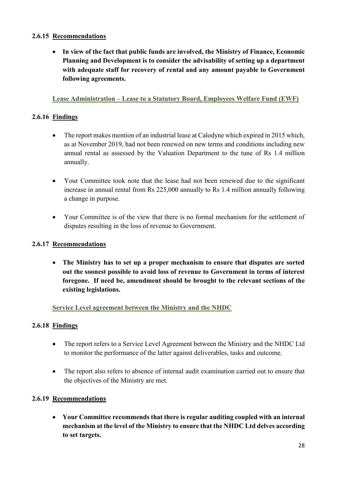### **2.6.15 Recommendations**

 **In view of the fact that public funds are involved, the Ministry of Finance, Economic Planning and Development is to consider the advisability of setting up a department with adequate staff for recovery of rental and any amount payable to Government following agreements.** 

# **Lease Administration – Lease to a Statutory Board, Employees Welfare Fund (EWF)**

# **2.6.16 Findings**

- The report makes mention of an industrial lease at Calodyne which expired in 2015 which, as at November 2019, had not been renewed on new terms and conditions including new annual rental as assessed by the Valuation Department to the tune of Rs 1.4 million annually.
- Your Committee took note that the lease had not been renewed due to the significant increase in annual rental from Rs 225,000 annually to Rs 1.4 million annually following a change in purpose.
- Your Committee is of the view that there is no formal mechanism for the settlement of disputes resulting in the loss of revenue to Government.

# **2.6.17 Recommendations**

 **The Ministry has to set up a proper mechanism to ensure that disputes are sorted out the soonest possible to avoid loss of revenue to Government in terms of interest foregone. If need be, amendment should be brought to the relevant sections of the existing legislations.** 

# **Service Level agreement between the Ministry and the NHDC**

# **2.6.18 Findings**

- The report refers to a Service Level Agreement between the Ministry and the NHDC Ltd to monitor the performance of the latter against deliverables, tasks and outcome.
- The report also refers to absence of internal audit examination carried out to ensure that the objectives of the Ministry are met.

#### **2.6.19 Recommendations**

 **Your Committee recommends that there is regular auditing coupled with an internal mechanism at the level of the Ministry to ensure that the NHDC Ltd delves according to set targets.**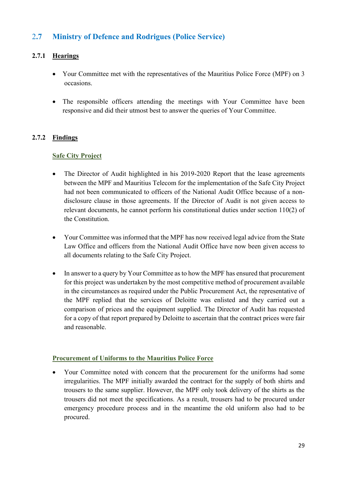# 2**.7 Ministry of Defence and Rodrigues (Police Service)**

# **2.7.1 Hearings**

- Your Committee met with the representatives of the Mauritius Police Force (MPF) on 3 occasions.
- The responsible officers attending the meetings with Your Committee have been responsive and did their utmost best to answer the queries of Your Committee.

# **2.7.2 Findings**

#### **Safe City Project**

- The Director of Audit highlighted in his 2019-2020 Report that the lease agreements between the MPF and Mauritius Telecom for the implementation of the Safe City Project had not been communicated to officers of the National Audit Office because of a nondisclosure clause in those agreements. If the Director of Audit is not given access to relevant documents, he cannot perform his constitutional duties under section 110(2) of the Constitution.
- Your Committee was informed that the MPF has now received legal advice from the State Law Office and officers from the National Audit Office have now been given access to all documents relating to the Safe City Project.
- In answer to a query by Your Committee as to how the MPF has ensured that procurement for this project was undertaken by the most competitive method of procurement available in the circumstances as required under the Public Procurement Act, the representative of the MPF replied that the services of Deloitte was enlisted and they carried out a comparison of prices and the equipment supplied. The Director of Audit has requested for a copy of that report prepared by Deloitte to ascertain that the contract prices were fair and reasonable.

#### **Procurement of Uniforms to the Mauritius Police Force**

 Your Committee noted with concern that the procurement for the uniforms had some irregularities. The MPF initially awarded the contract for the supply of both shirts and trousers to the same supplier. However, the MPF only took delivery of the shirts as the trousers did not meet the specifications. As a result, trousers had to be procured under emergency procedure process and in the meantime the old uniform also had to be procured.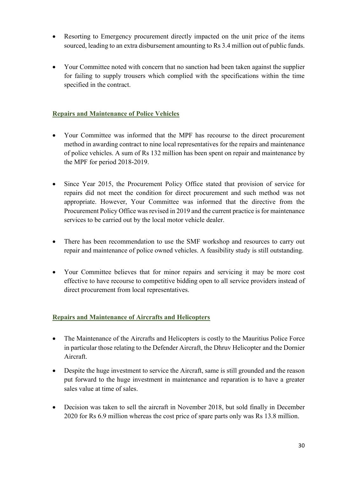- Resorting to Emergency procurement directly impacted on the unit price of the items sourced, leading to an extra disbursement amounting to Rs 3.4 million out of public funds.
- Your Committee noted with concern that no sanction had been taken against the supplier for failing to supply trousers which complied with the specifications within the time specified in the contract.

# **Repairs and Maintenance of Police Vehicles**

- Your Committee was informed that the MPF has recourse to the direct procurement method in awarding contract to nine local representatives for the repairs and maintenance of police vehicles. A sum of Rs 132 million has been spent on repair and maintenance by the MPF for period 2018-2019.
- Since Year 2015, the Procurement Policy Office stated that provision of service for repairs did not meet the condition for direct procurement and such method was not appropriate. However, Your Committee was informed that the directive from the Procurement Policy Office was revised in 2019 and the current practice is for maintenance services to be carried out by the local motor vehicle dealer.
- There has been recommendation to use the SMF workshop and resources to carry out repair and maintenance of police owned vehicles. A feasibility study is still outstanding.
- Your Committee believes that for minor repairs and servicing it may be more cost effective to have recourse to competitive bidding open to all service providers instead of direct procurement from local representatives.

# **Repairs and Maintenance of Aircrafts and Helicopters**

- The Maintenance of the Aircrafts and Helicopters is costly to the Mauritius Police Force in particular those relating to the Defender Aircraft, the Dhruv Helicopter and the Dornier Aircraft.
- Despite the huge investment to service the Aircraft, same is still grounded and the reason put forward to the huge investment in maintenance and reparation is to have a greater sales value at time of sales.
- Decision was taken to sell the aircraft in November 2018, but sold finally in December 2020 for Rs 6.9 million whereas the cost price of spare parts only was Rs 13.8 million.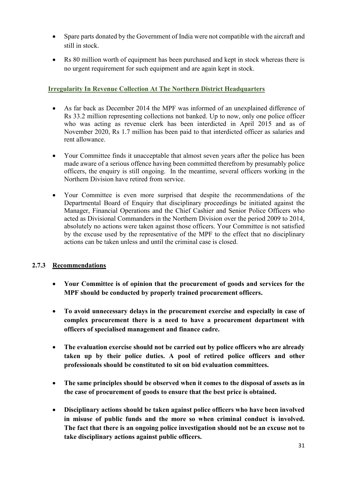- Spare parts donated by the Government of India were not compatible with the aircraft and still in stock.
- Rs 80 million worth of equipment has been purchased and kept in stock whereas there is no urgent requirement for such equipment and are again kept in stock.

# **Irregularity In Revenue Collection At The Northern District Headquarters**

- As far back as December 2014 the MPF was informed of an unexplained difference of Rs 33.2 million representing collections not banked. Up to now, only one police officer who was acting as revenue clerk has been interdicted in April 2015 and as of November 2020, Rs 1.7 million has been paid to that interdicted officer as salaries and rent allowance.
- Your Committee finds it unacceptable that almost seven years after the police has been made aware of a serious offence having been committed therefrom by presumably police officers, the enquiry is still ongoing. In the meantime, several officers working in the Northern Division have retired from service.
- Your Committee is even more surprised that despite the recommendations of the Departmental Board of Enquiry that disciplinary proceedings be initiated against the Manager, Financial Operations and the Chief Cashier and Senior Police Officers who acted as Divisional Commanders in the Northern Division over the period 2009 to 2014, absolutely no actions were taken against those officers. Your Committee is not satisfied by the excuse used by the representative of the MPF to the effect that no disciplinary actions can be taken unless and until the criminal case is closed.

# **2.7.3 Recommendations**

- **Your Committee is of opinion that the procurement of goods and services for the MPF should be conducted by properly trained procurement officers.**
- **To avoid unnecessary delays in the procurement exercise and especially in case of complex procurement there is a need to have a procurement department with officers of specialised management and finance cadre.**
- **The evaluation exercise should not be carried out by police officers who are already taken up by their police duties. A pool of retired police officers and other professionals should be constituted to sit on bid evaluation committees.**
- **The same principles should be observed when it comes to the disposal of assets as in the case of procurement of goods to ensure that the best price is obtained.**
- **Disciplinary actions should be taken against police officers who have been involved in misuse of public funds and the more so when criminal conduct is involved. The fact that there is an ongoing police investigation should not be an excuse not to take disciplinary actions against public officers.**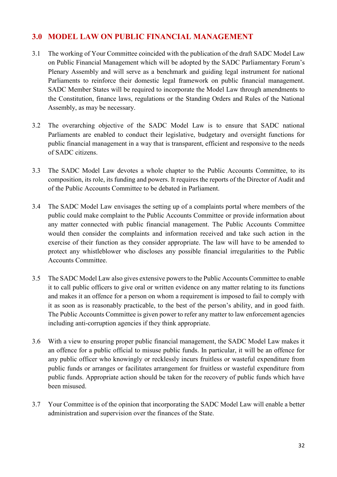# **3.0 MODEL LAW ON PUBLIC FINANCIAL MANAGEMENT**

- 3.1 The working of Your Committee coincided with the publication of the draft SADC Model Law on Public Financial Management which will be adopted by the SADC Parliamentary Forum's Plenary Assembly and will serve as a benchmark and guiding legal instrument for national Parliaments to reinforce their domestic legal framework on public financial management. SADC Member States will be required to incorporate the Model Law through amendments to the Constitution, finance laws, regulations or the Standing Orders and Rules of the National Assembly, as may be necessary.
- 3.2 The overarching objective of the SADC Model Law is to ensure that SADC national Parliaments are enabled to conduct their legislative, budgetary and oversight functions for public financial management in a way that is transparent, efficient and responsive to the needs of SADC citizens.
- 3.3 The SADC Model Law devotes a whole chapter to the Public Accounts Committee, to its composition, its role, its funding and powers. It requires the reports of the Director of Audit and of the Public Accounts Committee to be debated in Parliament.
- 3.4 The SADC Model Law envisages the setting up of a complaints portal where members of the public could make complaint to the Public Accounts Committee or provide information about any matter connected with public financial management. The Public Accounts Committee would then consider the complaints and information received and take such action in the exercise of their function as they consider appropriate. The law will have to be amended to protect any whistleblower who discloses any possible financial irregularities to the Public Accounts Committee.
- 3.5 The SADC Model Law also gives extensive powers to the Public Accounts Committee to enable it to call public officers to give oral or written evidence on any matter relating to its functions and makes it an offence for a person on whom a requirement is imposed to fail to comply with it as soon as is reasonably practicable, to the best of the person's ability, and in good faith. The Public Accounts Committee is given power to refer any matter to law enforcement agencies including anti-corruption agencies if they think appropriate.
- 3.6 With a view to ensuring proper public financial management, the SADC Model Law makes it an offence for a public official to misuse public funds. In particular, it will be an offence for any public officer who knowingly or recklessly incurs fruitless or wasteful expenditure from public funds or arranges or facilitates arrangement for fruitless or wasteful expenditure from public funds. Appropriate action should be taken for the recovery of public funds which have been misused.
- 3.7 Your Committee is of the opinion that incorporating the SADC Model Law will enable a better administration and supervision over the finances of the State.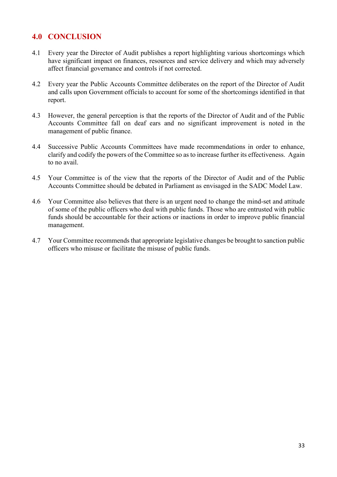# **4.0 CONCLUSION**

- 4.1 Every year the Director of Audit publishes a report highlighting various shortcomings which have significant impact on finances, resources and service delivery and which may adversely affect financial governance and controls if not corrected.
- 4.2 Every year the Public Accounts Committee deliberates on the report of the Director of Audit and calls upon Government officials to account for some of the shortcomings identified in that report.
- 4.3 However, the general perception is that the reports of the Director of Audit and of the Public Accounts Committee fall on deaf ears and no significant improvement is noted in the management of public finance.
- 4.4 Successive Public Accounts Committees have made recommendations in order to enhance, clarify and codify the powers of the Committee so as to increase further its effectiveness. Again to no avail.
- 4.5 Your Committee is of the view that the reports of the Director of Audit and of the Public Accounts Committee should be debated in Parliament as envisaged in the SADC Model Law.
- 4.6 Your Committee also believes that there is an urgent need to change the mind-set and attitude of some of the public officers who deal with public funds. Those who are entrusted with public funds should be accountable for their actions or inactions in order to improve public financial management.
- 4.7 Your Committee recommends that appropriate legislative changes be brought to sanction public officers who misuse or facilitate the misuse of public funds.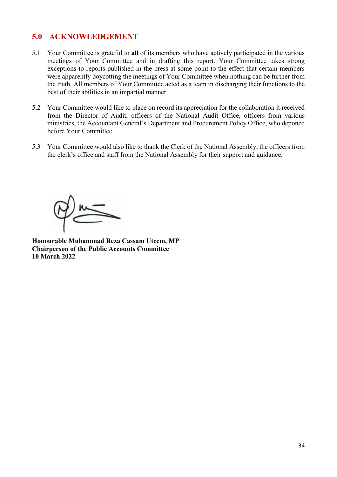# **5.0 ACKNOWLEDGEMENT**

- 5.1 Your Committee is grateful to **all** of its members who have actively participated in the various meetings of Your Committee and in drafting this report. Your Committee takes strong exceptions to reports published in the press at some point to the effect that certain members were apparently boycotting the meetings of Your Committee when nothing can be further from the truth. All members of Your Committee acted as a team in discharging their functions to the best of their abilities in an impartial manner.
- 5.2 Your Committee would like to place on record its appreciation for the collaboration it received from the Director of Audit, officers of the National Audit Office, officers from various ministries, the Accountant General's Department and Procurement Policy Office, who deponed before Your Committee.
- 5.3 Your Committee would also like to thank the Clerk of the National Assembly, the officers from the clerk's office and staff from the National Assembly for their support and guidance.

**Honourable Muhammad Reza Cassam Uteem, MP Chairperson of the Public Accounts Committee 10 March 2022**